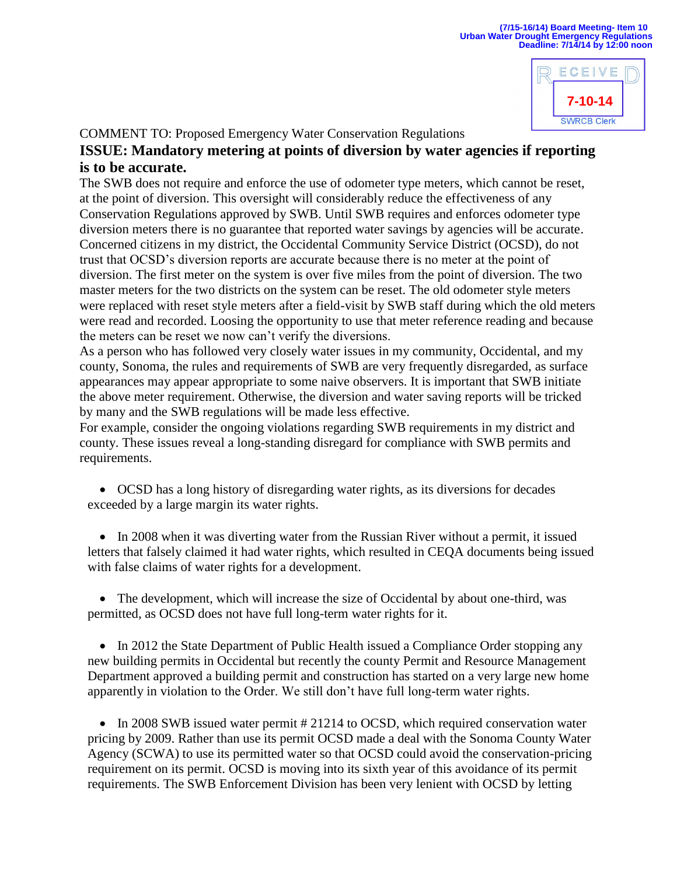

COMMENT TO: Proposed Emergency Water Conservation Regulations

## **ISSUE: Mandatory metering at points of diversion by water agencies if reporting is to be accurate.**

The SWB does not require and enforce the use of odometer type meters, which cannot be reset, at the point of diversion. This oversight will considerably reduce the effectiveness of any Conservation Regulations approved by SWB. Until SWB requires and enforces odometer type diversion meters there is no guarantee that reported water savings by agencies will be accurate. Concerned citizens in my district, the Occidental Community Service District (OCSD), do not trust that OCSD's diversion reports are accurate because there is no meter at the point of diversion. The first meter on the system is over five miles from the point of diversion. The two master meters for the two districts on the system can be reset. The old odometer style meters were replaced with reset style meters after a field-visit by SWB staff during which the old meters were read and recorded. Loosing the opportunity to use that meter reference reading and because the meters can be reset we now can't verify the diversions.

As a person who has followed very closely water issues in my community, Occidental, and my county, Sonoma, the rules and requirements of SWB are very frequently disregarded, as surface appearances may appear appropriate to some naive observers. It is important that SWB initiate the above meter requirement. Otherwise, the diversion and water saving reports will be tricked by many and the SWB regulations will be made less effective.

For example, consider the ongoing violations regarding SWB requirements in my district and county. These issues reveal a long-standing disregard for compliance with SWB permits and requirements.

 OCSD has a long history of disregarding water rights, as its diversions for decades exceeded by a large margin its water rights.

• In 2008 when it was diverting water from the Russian River without a permit, it issued letters that falsely claimed it had water rights, which resulted in CEQA documents being issued with false claims of water rights for a development.

• The development, which will increase the size of Occidental by about one-third, was permitted, as OCSD does not have full long-term water rights for it.

• In 2012 the State Department of Public Health issued a Compliance Order stopping any new building permits in Occidental but recently the county Permit and Resource Management Department approved a building permit and construction has started on a very large new home apparently in violation to the Order. We still don't have full long-term water rights.

• In 2008 SWB issued water permit # 21214 to OCSD, which required conservation water pricing by 2009. Rather than use its permit OCSD made a deal with the Sonoma County Water Agency (SCWA) to use its permitted water so that OCSD could avoid the conservation-pricing requirement on its permit. OCSD is moving into its sixth year of this avoidance of its permit requirements. The SWB Enforcement Division has been very lenient with OCSD by letting